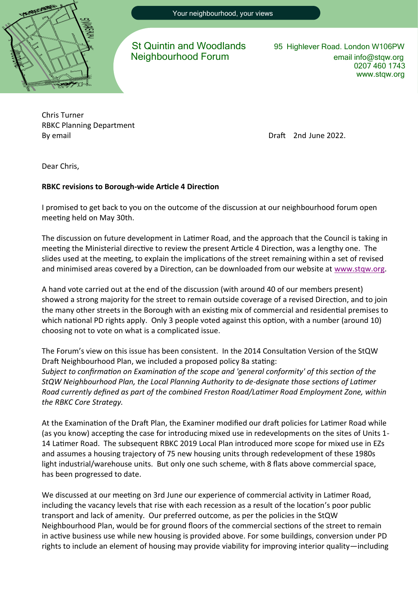

St Quintin and Woodlands 95 Highlever Road. London W106PW

Neighbourhood Forum email info@stqw.org 0207 460 1743 www.stqw.org

Chris Turner RBKC Planning Department By email **By email By email Draft** 2nd June 2022.

Dear Chris,

## **RBKC revisions to Borough-wide Article 4 Direction**

I promised to get back to you on the outcome of the discussion at our neighbourhood forum open meeting held on May 30th.

The discussion on future development in Latimer Road, and the approach that the Council is taking in meeting the Ministerial directive to review the present Article 4 Direction, was a lengthy one. The slides used at the meeting, to explain the implications of the street remaining within a set of revised and minimised areas covered by a Direction, can be downloaded from our website at [www.stqw.org.](http://www.stqw.org)

A hand vote carried out at the end of the discussion (with around 40 of our members present) showed a strong majority for the street to remain outside coverage of a revised Direction, and to join the many other streets in the Borough with an existing mix of commercial and residential premises to which national PD rights apply. Only 3 people voted against this option, with a number (around 10) choosing not to vote on what is a complicated issue.

The Forum's view on this issue has been consistent. In the 2014 Consultation Version of the StQW Draft Neighbourhood Plan, we included a proposed policy 8a stating: *Subject to confirmation on Examination of the scope and 'general conformity' of this section of the StQW Neighbourhood Plan, the Local Planning Authority to de-designate those sections of Latimer Road currently defined as part of the combined Freston Road/Latimer Road Employment Zone, within the RBKC Core Strategy.* 

At the Examination of the Draft Plan, the Examiner modified our draft policies for Latimer Road while (as you know) accepting the case for introducing mixed use in redevelopments on the sites of Units 1- 14 Latimer Road. The subsequent RBKC 2019 Local Plan introduced more scope for mixed use in EZs and assumes a housing trajectory of 75 new housing units through redevelopment of these 1980s light industrial/warehouse units. But only one such scheme, with 8 flats above commercial space, has been progressed to date.

We discussed at our meeting on 3rd Jun*e* our experience of commercial activity in Latimer Road, including the vacancy levels that rise with each recession as a result of the location's poor public transport and lack of amenity. Our preferred outcome, as per the policies in the StQW Neighbourhood Plan, would be for ground floors of the commercial sections of the street to remain in active business use while new housing is provided above. For some buildings, conversion under PD rights to include an element of housing may provide viability for improving interior quality—including